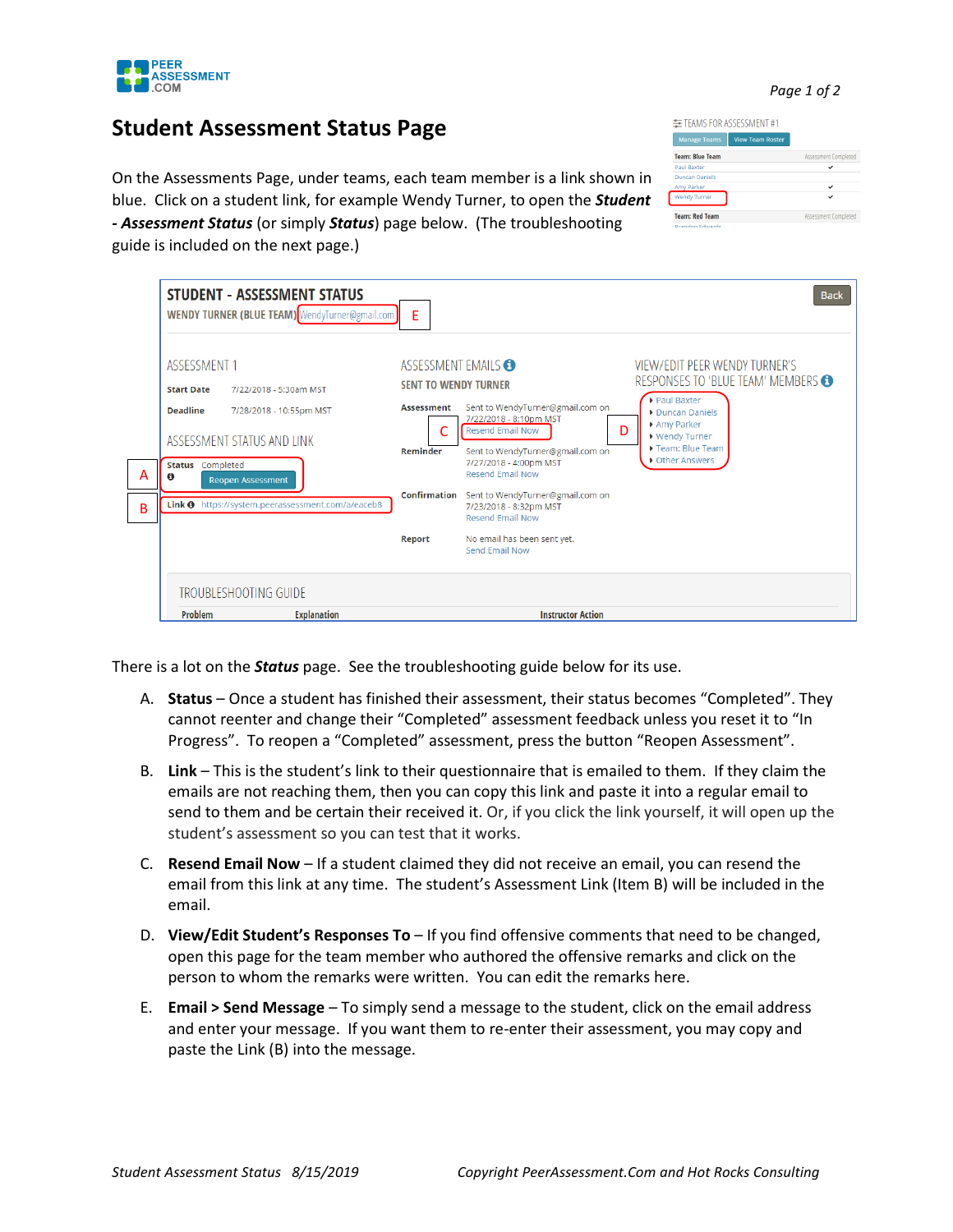

*Page 1 of 2*

## **Student Assessment Status Page**

STUDENT - ASSESSMENT STATUS

MENINY TUDNED (BLUE TEARS)

On the Assessments Page, under team blue. Click on a student link, for exam *- Assessment Status (or simply Status)* guide is included on the next page.)

| is, each team member is a link shown in<br>ple Wendy Turner, to open the <b>Student</b><br>) page below. (The troubleshooting                                                              | Duncan Daniers<br>Amy Parker<br>✓<br><b>Wendy Turner</b><br><b>Team: Red Team</b><br>Assessment Completed<br><b>Brandon Edwards</b> |
|--------------------------------------------------------------------------------------------------------------------------------------------------------------------------------------------|-------------------------------------------------------------------------------------------------------------------------------------|
| F                                                                                                                                                                                          | <b>Back</b>                                                                                                                         |
| ASSESSMENT EMAILS <b>O</b><br><b>SENT TO WENDY TURNER</b><br>Sent to WendyTurner@gmail.com on<br><b>Assessment</b><br>7/22/2018 - 8:10pm MST<br>n<br><b>Decend Email Now</b><br>$\sqrt{2}$ | <b>VIEW/EDIT PEER WENDY TURNER'S</b><br>RESPONSES TO 'BLUE TEAM' MEMBERS<br>▶ Paul Baxter<br>Duncan Daniels<br>Amy Parker           |

| A<br>B | ASSESSMENT 1<br><b>Start Date</b><br><b>Deadline</b><br>ASSESSMENT STATUS AND LINK<br><b>Status</b> Completed<br>A<br><b>Reopen Assessment</b> | 7/22/2018 - 5:30am MST<br>7/28/2018 - 10:55pm MST<br>Link <sup>0</sup> https://system.peerassessment.com/a/eaceb8 | ASSESSMENT EMAILS <sup>6</sup><br><b>SENT TO WENDY TURNER</b><br><b>Assessment</b><br>Reminder<br>Confirmation<br>Report | Sent to WendyTurner@gmail.com on<br>7/22/2018 - 8:10pm MST<br><b>Resend Email Now</b><br>Sent to WendyTurner@gmail.com on<br>7/27/2018 - 4:00pm MST<br><b>Resend Email Now</b><br>Sent to WendyTurner@gmail.com on<br>7/23/2018 - 8:32pm MST<br><b>Resend Email Now</b><br>No email has been sent yet.<br>Send Email Now | VIEW/EDIT PEER WENDY TURNER'S<br>RESPONSES TO 'BLUE TEAM' MEMBERS<br>Paul Baxter<br>Duncan Daniels<br>Amy Parker<br>D<br>▶ Wendy Turner<br>Team: Blue Team<br>▶ Other Answers |
|--------|------------------------------------------------------------------------------------------------------------------------------------------------|-------------------------------------------------------------------------------------------------------------------|--------------------------------------------------------------------------------------------------------------------------|--------------------------------------------------------------------------------------------------------------------------------------------------------------------------------------------------------------------------------------------------------------------------------------------------------------------------|-------------------------------------------------------------------------------------------------------------------------------------------------------------------------------|
|        | <b>TROUBLESHOOTING GUIDE</b><br>Problem                                                                                                        | <b>Explanation</b>                                                                                                |                                                                                                                          | <b>Instructor Action</b>                                                                                                                                                                                                                                                                                                 |                                                                                                                                                                               |

There is a lot on the *Status* page. See the troubleshooting guide below for its use.

- A. **Status** Once a student has finished their assessment, their status becomes "Completed". They cannot reenter and change their "Completed" assessment feedback unless you reset it to "In Progress". To reopen a "Completed" assessment, press the button "Reopen Assessment".
- B. **Link** This is the student's link to their questionnaire that is emailed to them. If they claim the emails are not reaching them, then you can copy this link and paste it into a regular email to send to them and be certain their received it. Or, if you click the link yourself, it will open up the student's assessment so you can test that it works.
- C. **Resend Email Now** If a student claimed they did not receive an email, you can resend the email from this link at any time. The student's Assessment Link (Item B) will be included in the email.
- D. **View/Edit Student's Responses To** If you find offensive comments that need to be changed, open this page for the team member who authored the offensive remarks and click on the person to whom the remarks were written. You can edit the remarks here.
- E. **Email > Send Message**  To simply send a message to the student, click on the email address and enter your message. If you want them to re-enter their assessment, you may copy and paste the Link (B) into the message.